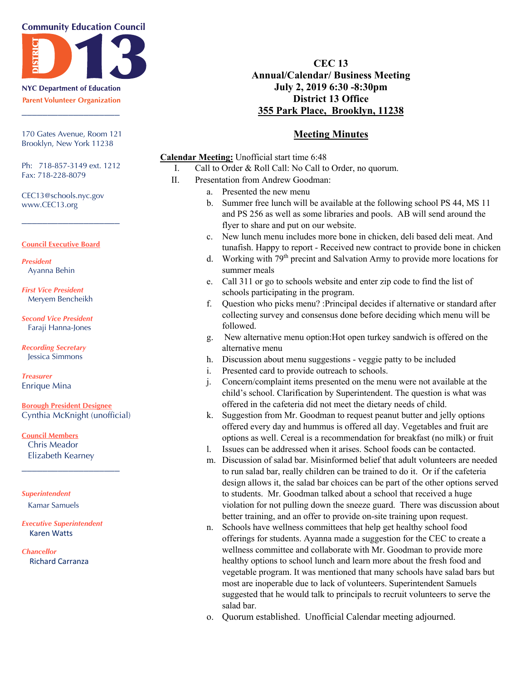#### **Community Education Council**



**NYC Department of Education Parent Volunteer Organization** \_\_\_\_\_\_\_\_\_\_\_\_\_\_\_\_\_\_\_

170 Gates Avenue, Room 121 Brooklyn, New York 11238

Ph: 718-857-3149 ext. 1212 Fax: 718-228-8079

\_\_\_\_\_\_\_\_\_\_\_\_\_\_\_\_\_\_\_

CEC13@schools.nyc.gov www.CEC13.org

#### **Council Executive Board**

*President* Ayanna Behin

*First Vice President* Meryem Bencheikh

*Second Vice President* Faraji Hanna-Jones

*Recording Secretary* Jessica Simmons

*Treasurer* Enrique Mina

**Borough President Designee** Cynthia McKnight (unofficial)

**Council Members** Chris Meador Elizabeth Kearney

\_\_\_\_\_\_\_\_\_\_\_\_\_\_\_\_\_\_\_

*Superintendent* Kamar Samuels

*Executive Superintendent* Karen Watts

*Chancellor* Richard Carranza

# **CEC 13 Annual/Calendar/ Business Meeting July 2, 2019 6:30 -8:30pm District 13 Office 355 Park Place, Brooklyn, 11238**

### **Meeting Minutes**

**Calendar Meeting:** Unofficial start time 6:48

- I. Call to Order & Roll Call: No Call to Order, no quorum.
- II. Presentation from Andrew Goodman:
	- a. Presented the new menu
		- b. Summer free lunch will be available at the following school PS 44, MS 11 and PS 256 as well as some libraries and pools. AB will send around the flyer to share and put on our website.
		- c. New lunch menu includes more bone in chicken, deli based deli meat. And tunafish. Happy to report - Received new contract to provide bone in chicken
		- d. Working with 79<sup>th</sup> precint and Salvation Army to provide more locations for summer meals
		- e. Call 311 or go to schools website and enter zip code to find the list of schools participating in the program.
		- f. Question who picks menu? :Principal decides if alternative or standard after collecting survey and consensus done before deciding which menu will be followed.
		- g. New alternative menu option:Hot open turkey sandwich is offered on the alternative menu
		- h. Discussion about menu suggestions veggie patty to be included
	- i. Presented card to provide outreach to schools.
	- j. Concern/complaint items presented on the menu were not available at the child's school. Clarification by Superintendent. The question is what was offered in the cafeteria did not meet the dietary needs of child.
	- k. Suggestion from Mr. Goodman to request peanut butter and jelly options offered every day and hummus is offered all day. Vegetables and fruit are options as well. Cereal is a recommendation for breakfast (no milk) or fruit
	- l. Issues can be addressed when it arises. School foods can be contacted.
	- m. Discussion of salad bar. Misinformed belief that adult volunteers are needed to run salad bar, really children can be trained to do it. Or if the cafeteria design allows it, the salad bar choices can be part of the other options served to students. Mr. Goodman talked about a school that received a huge violation for not pulling down the sneeze guard. There was discussion about better training, and an offer to provide on-site training upon request.
	- n. Schools have wellness committees that help get healthy school food offerings for students. Ayanna made a suggestion for the CEC to create a wellness committee and collaborate with Mr. Goodman to provide more healthy options to school lunch and learn more about the fresh food and vegetable program. It was mentioned that many schools have salad bars but most are inoperable due to lack of volunteers. Superintendent Samuels suggested that he would talk to principals to recruit volunteers to serve the salad bar.
	- o. Quorum established. Unofficial Calendar meeting adjourned.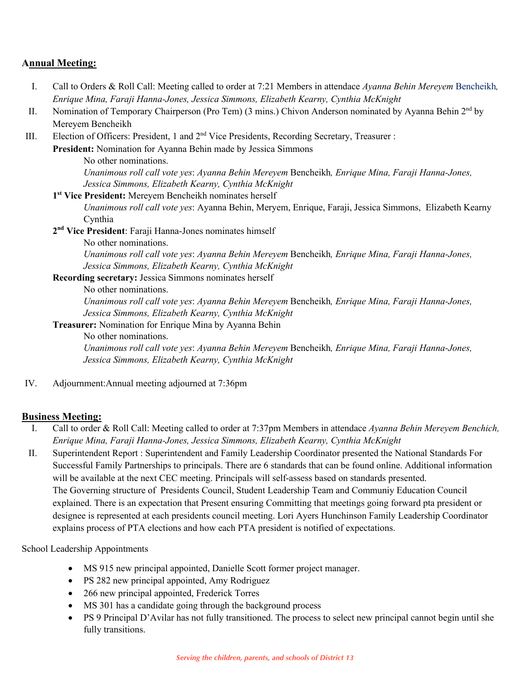# **Annual Meeting:**

- I. Call to Orders & Roll Call: Meeting called to order at 7:21 Members in attendace *Ayanna Behin Mereyem* Bencheikh*, Enrique Mina, Faraji Hanna-Jones, Jessica Simmons, Elizabeth Kearny, Cynthia McKnight*
- II. Nomination of Temporary Chairperson (Pro Tem) (3 mins.) Chivon Anderson nominated by Ayanna Behin 2<sup>nd</sup> by Mereyem Bencheikh
- III. Election of Officers: President, 1 and 2<sup>nd</sup> Vice Presidents, Recording Secretary, Treasurer :

**President:** Nomination for Ayanna Behin made by Jessica Simmons

No other nominations.

*Unanimous roll call vote yes*: *Ayanna Behin Mereyem* Bencheikh*, Enrique Mina, Faraji Hanna-Jones, Jessica Simmons, Elizabeth Kearny, Cynthia McKnight*

**1st Vice President:** Mereyem Bencheikh nominates herself

*Unanimous roll call vote yes*: Ayanna Behin, Meryem, Enrique, Faraji, Jessica Simmons, Elizabeth Kearny Cynthia

**2nd Vice President**: Faraji Hanna-Jones nominates himself

No other nominations.

*Unanimous roll call vote yes*: *Ayanna Behin Mereyem* Bencheikh*, Enrique Mina, Faraji Hanna-Jones, Jessica Simmons, Elizabeth Kearny, Cynthia McKnight*

### **Recording secretary:** Jessica Simmons nominates herself

No other nominations.

*Unanimous roll call vote yes*: *Ayanna Behin Mereyem* Bencheikh*, Enrique Mina, Faraji Hanna-Jones, Jessica Simmons, Elizabeth Kearny, Cynthia McKnight*

**Treasurer:** Nomination for Enrique Mina by Ayanna Behin

No other nominations.

*Unanimous roll call vote yes*: *Ayanna Behin Mereyem* Bencheikh*, Enrique Mina, Faraji Hanna-Jones, Jessica Simmons, Elizabeth Kearny, Cynthia McKnight*

IV. Adjournment:Annual meeting adjourned at 7:36pm

## **Business Meeting:**

- I. Call to order & Roll Call: Meeting called to order at 7:37pm Members in attendace *Ayanna Behin Mereyem Benchich, Enrique Mina, Faraji Hanna-Jones, Jessica Simmons, Elizabeth Kearny, Cynthia McKnight*
- II. Superintendent Report : Superintendent and Family Leadership Coordinator presented the National Standards For Successful Family Partnerships to principals. There are 6 standards that can be found online. Additional information will be available at the next CEC meeting. Principals will self-assess based on standards presented. The Governing structure of Presidents Council, Student Leadership Team and Communiy Education Council explained. There is an expectation that Present ensuring Committing that meetings going forward pta president or designee is represented at each presidents council meeting. Lori Ayers Hunchinson Family Leadership Coordinator explains process of PTA elections and how each PTA president is notified of expectations.

School Leadership Appointments

- MS 915 new principal appointed, Danielle Scott former project manager.
- PS 282 new principal appointed, Amy Rodriguez
- 266 new principal appointed, Frederick Torres
- MS 301 has a candidate going through the background process
- PS 9 Principal D'Avilar has not fully transitioned. The process to select new principal cannot begin until she fully transitions.